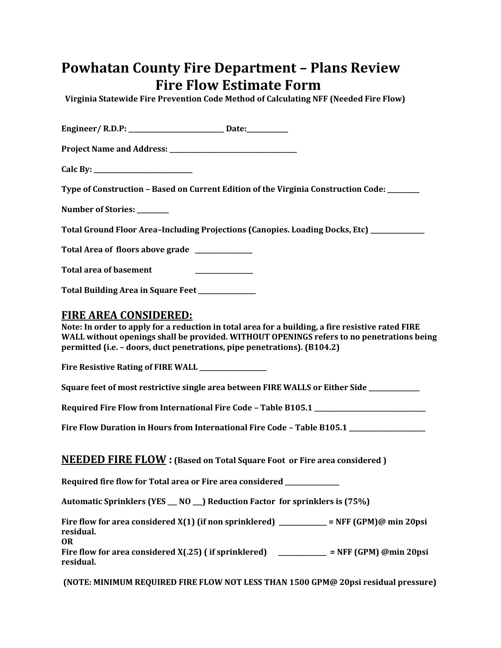## **Powhatan County Fire Department – Plans Review Fire Flow Estimate Form**

 **Virginia Statewide Fire Prevention Code Method of Calculating NFF (Needed Fire Flow)** 

| Engineer/ R.D.P: _______________________________ Date:_____________                                                                                                                                                                                                                                        |
|------------------------------------------------------------------------------------------------------------------------------------------------------------------------------------------------------------------------------------------------------------------------------------------------------------|
|                                                                                                                                                                                                                                                                                                            |
| Calc By: $\qquad \qquad$                                                                                                                                                                                                                                                                                   |
| Type of Construction - Based on Current Edition of the Virginia Construction Code: _______                                                                                                                                                                                                                 |
| <b>Number of Stories:</b>                                                                                                                                                                                                                                                                                  |
| Total Ground Floor Area-Including Projections (Canopies. Loading Docks, Etc) __________                                                                                                                                                                                                                    |
| Total Area of floors above grade _____________                                                                                                                                                                                                                                                             |
| <b>Total area of basement</b>                                                                                                                                                                                                                                                                              |
| Total Building Area in Square Feet ___________                                                                                                                                                                                                                                                             |
| <u>FIRE AREA CONSIDERED:</u><br>Note: In order to apply for a reduction in total area for a building, a fire resistive rated FIRE<br>WALL without openings shall be provided. WITHOUT OPENINGS refers to no penetrations being<br>permitted (i.e. - doors, duct penetrations, pipe penetrations). (B104.2) |
| Fire Resistive Rating of FIRE WALL ______________                                                                                                                                                                                                                                                          |
| Square feet of most restrictive single area between FIRE WALLS or Either Side __________                                                                                                                                                                                                                   |
| Required Fire Flow from International Fire Code - Table B105.1 __________________                                                                                                                                                                                                                          |
| Fire Flow Duration in Hours from International Fire Code - Table B105.1 _______________                                                                                                                                                                                                                    |
| <b>NEEDED FIRE FLOW</b> : (Based on Total Square Foot or Fire area considered)                                                                                                                                                                                                                             |
| Required fire flow for Total area or Fire area considered _____                                                                                                                                                                                                                                            |
| Automatic Sprinklers (YES _ NO _) Reduction Factor for sprinklers is (75%)                                                                                                                                                                                                                                 |
| Fire flow for area considered X(1) (if non sprinklered) _________ = NFF (GPM)@ min 20psi<br>residual.<br><b>OR</b>                                                                                                                                                                                         |
| Fire flow for area considered X(.25) (if sprinklered) __________ = NFF (GPM) @min 20psi<br>residual.                                                                                                                                                                                                       |
| (NOTE: MINIMUM REQUIRED FIRE FLOW NOT LESS THAN 1500 GPM@ 20psi residual pressure)                                                                                                                                                                                                                         |